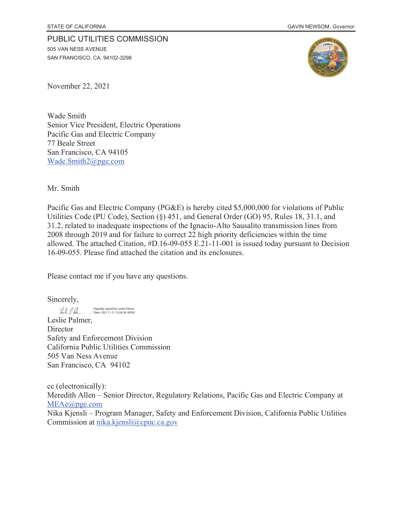#### PUBLIC UTILITIES COMMISSION

505 VAN NESS AVENUE SAN FRANCISCO, CA. 94102-3298



November 22, 2021

Wade Smith Senior Vice President, Electric Operations Pacific Gas and Electric Company 77 Beale Street San Francisco, CA 94105 Wade.Smith2@pge.com

Mr. Smith

Pacific Gas and Electric Company (PG&E) is hereby cited \$5,000,000 for violations of Public Utilities Code (PU Code), Section (§) 451, and General Order (GO) 95, Rules 18, 31.1, and 31.2, related to inadequate inspections of the Ignacio-Alto Sausalito transmission lines from 2008 through 2019 and for failure to correct 22 high priority deficiencies within the time allowed. The attached Citation, #D.16-09-055 E.21-11-001 is issued today pursuant to Decision 16-09-055. Please find attached the citation and its enclosures.

Please contact me if you have any questions.

Sincerely,

Kuli 1 Pul Digitally signed by Leslie Palmer Date: 2021.11.21 13:56:38 -08'00'

Leslie Palmer, **Director** Safety and Enforcement Division California Public Utilities Commission 505 Van Ness Avenue San Francisco, CA 94102

cc (electronically): Meredith Allen – Senior Director, Regulatory Relations, Pacific Gas and Electric Company at MEAe@pge.com Nika Kjensli – Program Manager, Safety and Enforcement Division, California Public Utilities

Commission at nika.kjensli@cpuc.ca.gov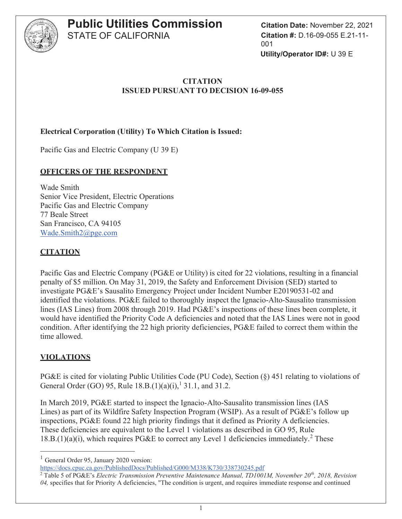

**Citation Date:** November 22, 2021 **Citation #:** D.16-09-055 E.21-11- 001 **Utility/Operator ID#:** U 39 E

#### **CITATION ISSUED PURSUANT TO DECISION 16-09-055**

### **Electrical Corporation (Utility) To Which Citation is Issued:**

Pacific Gas and Electric Company (U 39 E)

#### **OFFICERS OF THE RESPONDENT**

Wade Smith Senior Vice President, Electric Operations Pacific Gas and Electric Company 77 Beale Street San Francisco, CA 94105 Wade.Smith2@pge.com

#### **CITATION**

Pacific Gas and Electric Company (PG&E or Utility) is cited for 22 violations, resulting in a financial penalty of \$5 million. On May 31, 2019, the Safety and Enforcement Division (SED) started to investigate PG&E's Sausalito Emergency Project under Incident Number E20190531-02 and identified the violations. PG&E failed to thoroughly inspect the Ignacio-Alto-Sausalito transmission lines (IAS Lines) from 2008 through 2019. Had PG&E's inspections of these lines been complete, it would have identified the Priority Code A deficiencies and noted that the IAS Lines were not in good condition. After identifying the 22 high priority deficiencies, PG&E failed to correct them within the time allowed.

#### **VIOLATIONS**

PG&E is cited for violating Public Utilities Code (PU Code), Section (§) 451 relating to violations of General Order (GO) 95, Rule  $18.B.(1)(a)(i),<sup>1</sup> 31.1$ , and 31.2.

In March 2019, PG&E started to inspect the Ignacio-Alto-Sausalito transmission lines (IAS Lines) as part of its Wildfire Safety Inspection Program (WSIP). As a result of PG&E's follow up inspections, PG&E found 22 high priority findings that it defined as Priority A deficiencies. These deficiencies are equivalent to the Level 1 violations as described in GO 95, Rule  $18.B.(1)(a)(i)$ , which requires PG&E to correct any Level 1 deficiencies immediately.<sup>2</sup> These

<sup>1</sup> General Order 95, January 2020 version:

https://docs.cpuc.ca.gov/PublishedDocs/Published/G000/M338/K730/338730245.pdf

<sup>2</sup> Table 5 of PG&E's *Electric Transmission Preventive Maintenance Manual, TD1001M, November 20th, 2018, Revision 04,* specifies that for Priority A deficiencies, "The condition is urgent, and requires immediate response and continued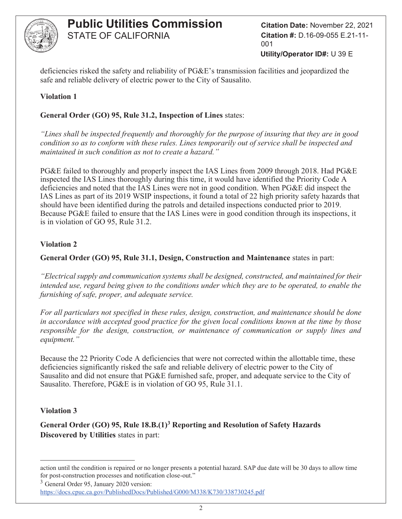

**Citation Date:** November 22, 2021 **Citation #:** D.16-09-055 E.21-11- 001

**Utility/Operator ID#:** U 39 E

deficiencies risked the safety and reliability of PG&E's transmission facilities and jeopardized the safe and reliable delivery of electric power to the City of Sausalito.

#### **Violation 1**

**General Order (GO) 95, Rule 31.2, Inspection of Lines** states:

*"Lines shall be inspected frequently and thoroughly for the purpose of insuring that they are in good condition so as to conform with these rules. Lines temporarily out of service shall be inspected and maintained in such condition as not to create a hazard."*

PG&E failed to thoroughly and properly inspect the IAS Lines from 2009 through 2018. Had PG&E inspected the IAS Lines thoroughly during this time, it would have identified the Priority Code A deficiencies and noted that the IAS Lines were not in good condition. When PG&E did inspect the IAS Lines as part of its 2019 WSIP inspections, it found a total of 22 high priority safety hazards that should have been identified during the patrols and detailed inspections conducted prior to 2019. Because PG&E failed to ensure that the IAS Lines were in good condition through its inspections, it is in violation of GO 95, Rule 31.2.

#### **Violation 2**

**General Order (GO) 95, Rule 31.1, Design, Construction and Maintenance** states in part:

*"Electrical supply and communication systems shall be designed, constructed, and maintained for their intended use, regard being given to the conditions under which they are to be operated, to enable the furnishing of safe, proper, and adequate service.*

*For all particulars not specified in these rules, design, construction, and maintenance should be done in accordance with accepted good practice for the given local conditions known at the time by those responsible for the design, construction, or maintenance of communication or supply lines and equipment."*

Because the 22 Priority Code A deficiencies that were not corrected within the allottable time, these deficiencies significantly risked the safe and reliable delivery of electric power to the City of Sausalito and did not ensure that PG&E furnished safe, proper, and adequate service to the City of Sausalito. Therefore, PG&E is in violation of GO 95, Rule 31.1.

#### **Violation 3**

**General Order (GO) 95, Rule 18.B.(1)3 Reporting and Resolution of Safety Hazards Discovered by Utilities** states in part:

action until the condition is repaired or no longer presents a potential hazard. SAP due date will be 30 days to allow time for post-construction processes and notification close-out."

<sup>&</sup>lt;sup>3</sup> General Order 95, January 2020 version: https://docs.cpuc.ca.gov/PublishedDocs/Published/G000/M338/K730/338730245.pdf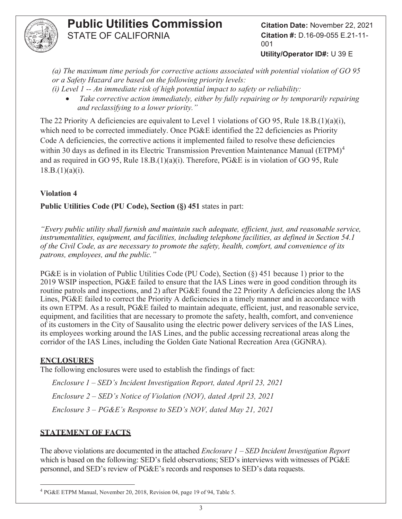

**Citation Date:** November 22, 2021 **Citation #:** D.16-09-055 E.21-11- 001

**Utility/Operator ID#:** U 39 E

*(a) The maximum time periods for corrective actions associated with potential violation of GO 95 or a Safety Hazard are based on the following priority levels:* 

*(i) Level 1 -- An immediate risk of high potential impact to safety or reliability:*

• Take corrective action immediately, either by fully repairing or by temporarily repairing *and reclassifying to a lower priority."* 

The 22 Priority A deficiencies are equivalent to Level 1 violations of GO 95, Rule 18.B.(1)(a)(i), which need to be corrected immediately. Once PG&E identified the 22 deficiencies as Priority Code A deficiencies, the corrective actions it implemented failed to resolve these deficiencies within 30 days as defined in its Electric Transmission Prevention Maintenance Manual (ETPM)<sup>4</sup> and as required in GO 95, Rule 18.B.(1)(a)(i). Therefore, PG&E is in violation of GO 95, Rule  $18.B.(1)(a)(i).$ 

#### **Violation 4**

**Public Utilities Code (PU Code), Section (§) 451** states in part:

*"Every public utility shall furnish and maintain such adequate, efficient, just, and reasonable service, instrumentalities, equipment, and facilities, including telephone facilities, as defined in Section 54.1 of the Civil Code, as are necessary to promote the safety, health, comfort, and convenience of its patrons, employees, and the public."*

PG&E is in violation of Public Utilities Code (PU Code), Section (§) 451 because 1) prior to the 2019 WSIP inspection, PG&E failed to ensure that the IAS Lines were in good condition through its routine patrols and inspections, and 2) after PG&E found the 22 Priority A deficiencies along the IAS Lines, PG&E failed to correct the Priority A deficiencies in a timely manner and in accordance with its own ETPM. As a result, PG&E failed to maintain adequate, efficient, just, and reasonable service, equipment, and facilities that are necessary to promote the safety, health, comfort, and convenience of its customers in the City of Sausalito using the electric power delivery services of the IAS Lines, its employees working around the IAS Lines, and the public accessing recreational areas along the corridor of the IAS Lines, including the Golden Gate National Recreation Area (GGNRA).

#### **ENCLOSURES**

The following enclosures were used to establish the findings of fact:

*Enclosure 1 – SED's Incident Investigation Report, dated April 23, 2021 Enclosure 2 – SED's Notice of Violation (NOV), dated April 23, 2021 Enclosure 3 – PG&E's Response to SED's NOV, dated May 21, 2021*

#### **STATEMENT OF FACTS**

The above violations are documented in the attached *Enclosure 1 – SED Incident Investigation Report*  which is based on the following: SED's field observations; SED's interviews with witnesses of PG&E personnel, and SED's review of PG&E's records and responses to SED's data requests.

<sup>4</sup> PG&E ETPM Manual, November 20, 2018, Revision 04, page 19 of 94, Table 5.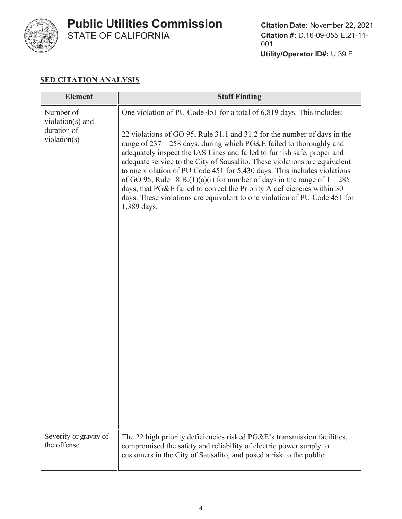

**Citation Date:** November 22, 2021 **Citation #:** D.16-09-055 E.21-11- 001 **Utility/Operator ID#:** U 39 E

#### **SED CITATION ANALYSIS**

| <b>Element</b>                                                                         | <b>Staff Finding</b>                                                                                                                                                                                                                                                                                                                                                                                                                                                                                                                                                                                                                                                                                             |
|----------------------------------------------------------------------------------------|------------------------------------------------------------------------------------------------------------------------------------------------------------------------------------------------------------------------------------------------------------------------------------------------------------------------------------------------------------------------------------------------------------------------------------------------------------------------------------------------------------------------------------------------------------------------------------------------------------------------------------------------------------------------------------------------------------------|
| Number of<br>violation(s) and<br>duration of<br>violation(s)<br>Severity or gravity of | One violation of PU Code 451 for a total of 6,819 days. This includes:<br>22 violations of GO 95, Rule 31.1 and 31.2 for the number of days in the<br>range of 237—258 days, during which PG&E failed to thoroughly and<br>adequately inspect the IAS Lines and failed to furnish safe, proper and<br>adequate service to the City of Sausalito. These violations are equivalent<br>to one violation of PU Code 451 for 5,430 days. This includes violations<br>of GO 95, Rule 18.B. $(1)(a)(i)$ for number of days in the range of 1-285<br>days, that PG&E failed to correct the Priority A deficiencies within 30<br>days. These violations are equivalent to one violation of PU Code 451 for<br>1,389 days. |
| the offense                                                                            | The 22 high priority deficiencies risked PG&E's transmission facilities,<br>compromised the safety and reliability of electric power supply to<br>customers in the City of Sausalito, and posed a risk to the public.                                                                                                                                                                                                                                                                                                                                                                                                                                                                                            |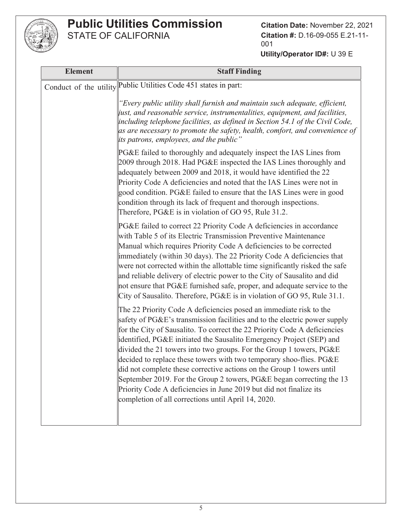

**Citation Date:** November 22, 2021 **Citation #:** D.16-09-055 E.21-11- 001

| <b>Element</b>                                                                                                                                                                                                                                                                                                                                                                                                                                                                               | <b>Staff Finding</b>                                                                                                                                                                                                                                                                                                                                                                                                                                                                                                                                                                                                                                                                                                             |  |
|----------------------------------------------------------------------------------------------------------------------------------------------------------------------------------------------------------------------------------------------------------------------------------------------------------------------------------------------------------------------------------------------------------------------------------------------------------------------------------------------|----------------------------------------------------------------------------------------------------------------------------------------------------------------------------------------------------------------------------------------------------------------------------------------------------------------------------------------------------------------------------------------------------------------------------------------------------------------------------------------------------------------------------------------------------------------------------------------------------------------------------------------------------------------------------------------------------------------------------------|--|
|                                                                                                                                                                                                                                                                                                                                                                                                                                                                                              | Conduct of the utility Public Utilities Code 451 states in part:                                                                                                                                                                                                                                                                                                                                                                                                                                                                                                                                                                                                                                                                 |  |
|                                                                                                                                                                                                                                                                                                                                                                                                                                                                                              | "Every public utility shall furnish and maintain such adequate, efficient,<br>$\vert$ just, and reasonable service, instrumentalities, equipment, and facilities,<br>including telephone facilities, as defined in Section 54.1 of the Civil Code,<br>$\parallel$ as are necessary to promote the safety, health, comfort, and convenience of<br>its patrons, employees, and the public"                                                                                                                                                                                                                                                                                                                                         |  |
| PG&E failed to thoroughly and adequately inspect the IAS Lines from<br>2009 through 2018. Had PG&E inspected the IAS Lines thoroughly and<br>adequately between 2009 and 2018, it would have identified the 22<br>Priority Code A deficiencies and noted that the IAS Lines were not in<br>good condition. PG&E failed to ensure that the IAS Lines were in good<br>condition through its lack of frequent and thorough inspections.<br>Therefore, PG&E is in violation of GO 95, Rule 31.2. |                                                                                                                                                                                                                                                                                                                                                                                                                                                                                                                                                                                                                                                                                                                                  |  |
|                                                                                                                                                                                                                                                                                                                                                                                                                                                                                              | PG&E failed to correct 22 Priority Code A deficiencies in accordance<br>with Table 5 of its Electric Transmission Preventive Maintenance<br>Manual which requires Priority Code A deficiencies to be corrected<br>immediately (within 30 days). The 22 Priority Code A deficiencies that<br>were not corrected within the allottable time significantly risked the safe<br>and reliable delivery of electric power to the City of Sausalito and did<br>not ensure that PG&E furnished safe, proper, and adequate service to the<br>City of Sausalito. Therefore, PG&E is in violation of GO 95, Rule 31.1.                                                                                                                       |  |
|                                                                                                                                                                                                                                                                                                                                                                                                                                                                                              | The 22 Priority Code A deficiencies posed an immediate risk to the<br>safety of PG&E's transmission facilities and to the electric power supply<br>for the City of Sausalito. To correct the 22 Priority Code A deficiencies<br>identified, PG&E initiated the Sausalito Emergency Project (SEP) and<br>divided the 21 towers into two groups. For the Group 1 towers, PG&E<br>decided to replace these towers with two temporary shoo-flies. PG&E<br>did not complete these corrective actions on the Group 1 towers until<br>September 2019. For the Group 2 towers, PG&E began correcting the 13<br>Priority Code A deficiencies in June 2019 but did not finalize its<br>completion of all corrections until April 14, 2020. |  |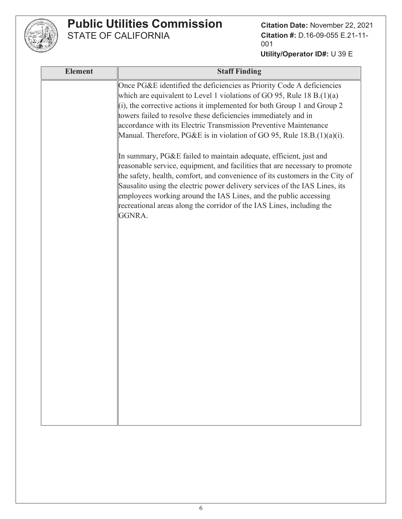

# **Public Utilities Commission**

STATE OF CALIFORNIA

**Citation Date:** November 22, 2021 **Citation #:** D.16-09-055 E.21-11- 001

| <b>Element</b> | <b>Staff Finding</b>                                                                                                                                                                                                                                                                                                                                                                                                                                                  |
|----------------|-----------------------------------------------------------------------------------------------------------------------------------------------------------------------------------------------------------------------------------------------------------------------------------------------------------------------------------------------------------------------------------------------------------------------------------------------------------------------|
|                | Once PG&E identified the deficiencies as Priority Code A deficiencies<br>which are equivalent to Level 1 violations of GO 95, Rule 18 B.(1)(a)<br>(i), the corrective actions it implemented for both Group 1 and Group 2<br>towers failed to resolve these deficiencies immediately and in<br>accordance with its Electric Transmission Preventive Maintenance                                                                                                       |
|                | Manual. Therefore, PG&E is in violation of GO 95, Rule $18.B.(1)(a)(i)$ .                                                                                                                                                                                                                                                                                                                                                                                             |
|                | In summary, PG&E failed to maintain adequate, efficient, just and<br>reasonable service, equipment, and facilities that are necessary to promote<br>the safety, health, comfort, and convenience of its customers in the City of<br>Sausalito using the electric power delivery services of the IAS Lines, its<br>employees working around the IAS Lines, and the public accessing<br>recreational areas along the corridor of the IAS Lines, including the<br>GGNRA. |
|                |                                                                                                                                                                                                                                                                                                                                                                                                                                                                       |
|                |                                                                                                                                                                                                                                                                                                                                                                                                                                                                       |
|                |                                                                                                                                                                                                                                                                                                                                                                                                                                                                       |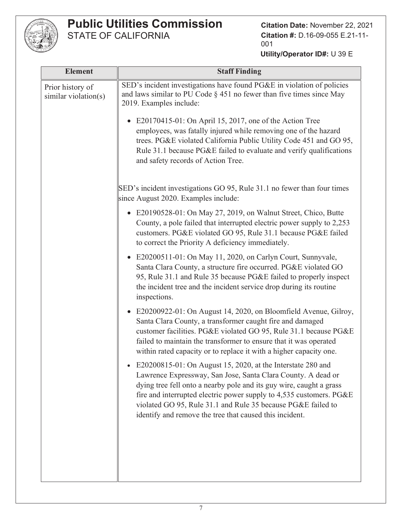

# **Public Utilities Commission**

STATE OF CALIFORNIA

**Citation Date:** November 22, 2021 **Citation #:** D.16-09-055 E.21-11- 001

| <b>Element</b>                           | <b>Staff Finding</b>                                                                                                                                                                                                                                                                                                                                                                                              |  |  |
|------------------------------------------|-------------------------------------------------------------------------------------------------------------------------------------------------------------------------------------------------------------------------------------------------------------------------------------------------------------------------------------------------------------------------------------------------------------------|--|--|
| Prior history of<br>similar violation(s) | SED's incident investigations have found PG&E in violation of policies<br>and laws similar to PU Code $\S$ 451 no fewer than five times since May<br>2019. Examples include:                                                                                                                                                                                                                                      |  |  |
|                                          | E20170415-01: On April 15, 2017, one of the Action Tree<br>$\bullet$<br>employees, was fatally injured while removing one of the hazard<br>trees. PG&E violated California Public Utility Code 451 and GO 95,<br>Rule 31.1 because PG&E failed to evaluate and verify qualifications<br>and safety records of Action Tree.                                                                                        |  |  |
|                                          | SED's incident investigations GO 95, Rule 31.1 no fewer than four times<br>since August 2020. Examples include:                                                                                                                                                                                                                                                                                                   |  |  |
|                                          | • E20190528-01: On May 27, 2019, on Walnut Street, Chico, Butte<br>County, a pole failed that interrupted electric power supply to 2,253<br>customers. PG&E violated GO 95, Rule 31.1 because PG&E failed<br>to correct the Priority A deficiency immediately.                                                                                                                                                    |  |  |
|                                          | • E20200511-01: On May 11, 2020, on Carlyn Court, Sunnyvale,<br>Santa Clara County, a structure fire occurred. PG&E violated GO<br>95, Rule 31.1 and Rule 35 because PG&E failed to properly inspect<br>the incident tree and the incident service drop during its routine<br>inspections.                                                                                                                        |  |  |
|                                          | • E20200922-01: On August 14, 2020, on Bloomfield Avenue, Gilroy,<br>Santa Clara County, a transformer caught fire and damaged<br>customer facilities. PG&E violated GO 95, Rule 31.1 because PG&E<br>failed to maintain the transformer to ensure that it was operated<br>within rated capacity or to replace it with a higher capacity one.                                                                     |  |  |
|                                          | E20200815-01: On August 15, 2020, at the Interstate 280 and<br>$\bullet$<br>Lawrence Expressway, San Jose, Santa Clara County. A dead or<br>dying tree fell onto a nearby pole and its guy wire, caught a grass<br>fire and interrupted electric power supply to 4,535 customers. PG&E<br>violated GO 95, Rule 31.1 and Rule 35 because PG&E failed to<br>identify and remove the tree that caused this incident. |  |  |
|                                          |                                                                                                                                                                                                                                                                                                                                                                                                                   |  |  |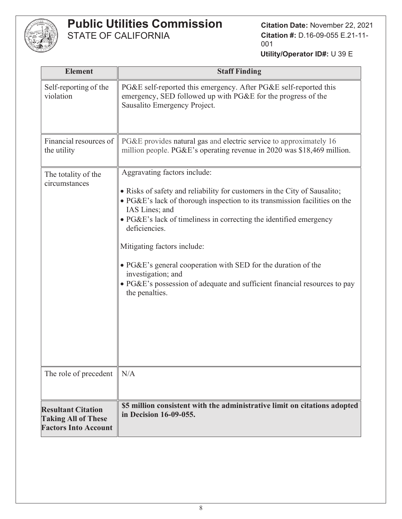

# **Public Utilities Commission**

STATE OF CALIFORNIA

**Citation Date:** November 22, 2021 **Citation #:** D.16-09-055 E.21-11- 001

| <b>Element</b>                                                                         | <b>Staff Finding</b>                                                                                                                                                                                                                                                                                                                                                                                                                                                                                                  |  |  |  |
|----------------------------------------------------------------------------------------|-----------------------------------------------------------------------------------------------------------------------------------------------------------------------------------------------------------------------------------------------------------------------------------------------------------------------------------------------------------------------------------------------------------------------------------------------------------------------------------------------------------------------|--|--|--|
| Self-reporting of the<br>violation                                                     | PG&E self-reported this emergency. After PG&E self-reported this<br>emergency, SED followed up with PG&E for the progress of the<br>Sausalito Emergency Project.                                                                                                                                                                                                                                                                                                                                                      |  |  |  |
| Financial resources of<br>the utility                                                  | PG&E provides natural gas and electric service to approximately 16<br>million people. PG&E's operating revenue in 2020 was \$18,469 million.                                                                                                                                                                                                                                                                                                                                                                          |  |  |  |
| The totality of the<br>circumstances                                                   | Aggravating factors include:<br>. Risks of safety and reliability for customers in the City of Sausalito;<br>• PG&E's lack of thorough inspection to its transmission facilities on the<br>IAS Lines; and<br>• PG&E's lack of timeliness in correcting the identified emergency<br>deficiencies.<br>Mitigating factors include:<br>• PG&E's general cooperation with SED for the duration of the<br>investigation; and<br>• PG&E's possession of adequate and sufficient financial resources to pay<br>the penalties. |  |  |  |
| The role of precedent                                                                  | N/A                                                                                                                                                                                                                                                                                                                                                                                                                                                                                                                   |  |  |  |
| <b>Resultant Citation</b><br><b>Taking All of These</b><br><b>Factors Into Account</b> | \$5 million consistent with the administrative limit on citations adopted<br>in Decision 16-09-055.                                                                                                                                                                                                                                                                                                                                                                                                                   |  |  |  |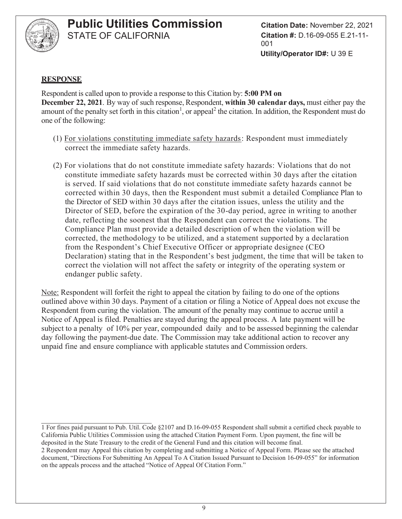

**Citation Date:** November 22, 2021 **Citation #:** D.16-09-055 E.21-11- 001 **Utility/Operator ID#:** U 39 E

#### **RESPONSE**

Respondent is called upon to provide a response to this Citation by: **5:00 PM on December 22, 2021**. By way of such response, Respondent, **within 30 calendar days,** must either pay the amount of the penalty set forth in this citation<sup>1</sup>, or appeal<sup>2</sup> the citation. In addition, the Respondent must do one of the following:

- (1) For violations constituting immediate safety hazards: Respondent must immediately correct the immediate safety hazards.
- (2) For violations that do not constitute immediate safety hazards: Violations that do not constitute immediate safety hazards must be corrected within 30 days after the citation is served. If said violations that do not constitute immediate safety hazards cannot be corrected within 30 days, then the Respondent must submit a detailed Compliance Plan to the Director of SED within 30 days after the citation issues, unless the utility and the Director of SED, before the expiration of the 30-day period, agree in writing to another date, reflecting the soonest that the Respondent can correct the violations. The Compliance Plan must provide a detailed description of when the violation will be corrected, the methodology to be utilized, and a statement supported by a declaration from the Respondent's Chief Executive Officer or appropriate designee (CEO Declaration) stating that in the Respondent's best judgment, the time that will be taken to correct the violation will not affect the safety or integrity of the operating system or endanger public safety.

Note: Respondent will forfeit the right to appeal the citation by failing to do one of the options outlined above within 30 days. Payment of a citation or filing a Notice of Appeal does not excuse the Respondent from curing the violation. The amount of the penalty may continue to accrue until a Notice of Appeal is filed. Penalties are stayed during the appeal process. A late payment will be subject to a penalty of 10% per year, compounded daily and to be assessed beginning the calendar day following the payment-due date. The Commission may take additional action to recover any unpaid fine and ensure compliance with applicable statutes and Commission orders.

1 For fines paid pursuant to Pub. Util. Code §2107 and D.16-09-055 Respondent shall submit a certified check payable to California Public Utilities Commission using the attached Citation Payment Form. Upon payment, the fine will be deposited in the State Treasury to the credit of the General Fund and this citation will become final.

<sup>2</sup> Respondent may Appeal this citation by completing and submitting a Notice of Appeal Form. Please see the attached document, "Directions For Submitting An Appeal To A Citation Issued Pursuant to Decision 16-09-055" for information on the appeals process and the attached "Notice of Appeal Of Citation Form."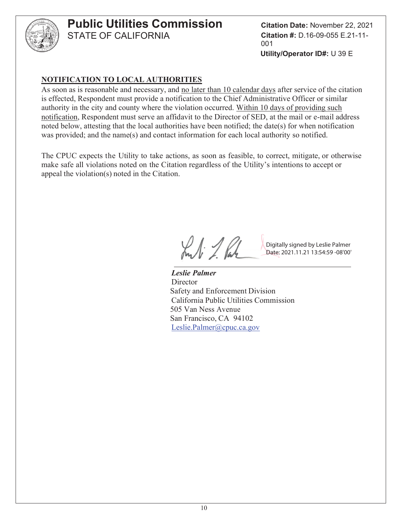

**Citation Date:** November 22, 2021 **Citation #:** D.16-09-055 E.21-11- 001 **Utility/Operator ID#:** U 39 E

#### **NOTIFICATION TO LOCAL AUTHORITIES**

As soon as is reasonable and necessary, and no later than 10 calendar days after service of the citation is effected, Respondent must provide a notification to the Chief Administrative Officer or similar authority in the city and county where the violation occurred. Within 10 days of providing such notification, Respondent must serve an affidavit to the Director of SED, at the mail or e-mail address noted below, attesting that the local authorities have been notified; the date(s) for when notification was provided; and the name(s) and contact information for each local authority so notified.

The CPUC expects the Utility to take actions, as soon as feasible, to correct, mitigate, or otherwise make safe all violations noted on the Citation regardless of the Utility's intentions to accept or appeal the violation(s) noted in the Citation.

Kuli 1. Par

Digitally signed by Leslie Palmer Date: 2021.11.21 13:54:59 -08'00'

 *Leslie Palmer* **Director**  Safety and Enforcement Division California Public Utilities Commission 505 Van Ness Avenue San Francisco, CA 94102 Leslie.Palmer@cpuc.ca.gov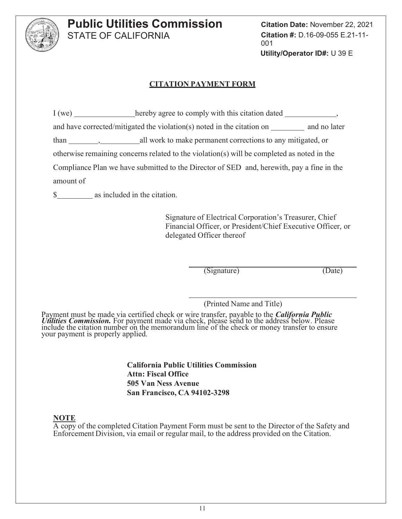

**Citation Date:** November 22, 2021 **Citation #:** D.16-09-055 E.21-11- 001 **Utility/Operator ID#:** U 39 E

#### **CITATION PAYMENT FORM**

| I(we)                | hereby agree to comply with this citation dated                                            |              |
|----------------------|--------------------------------------------------------------------------------------------|--------------|
|                      | and have corrected/mitigated the violation(s) noted in the citation on                     | and no later |
| than $\qquad \qquad$ | all work to make permanent corrections to any mitigated, or                                |              |
|                      | otherwise remaining concerns related to the violation(s) will be completed as noted in the |              |
|                      | Compliance Plan we have submitted to the Director of SED and, herewith, pay a fine in the  |              |
| amount of            |                                                                                            |              |

\$ as included in the citation.

Signature of Electrical Corporation's Treasurer, Chief Financial Officer, or President/Chief Executive Officer, or delegated Officer thereof

(Signature) (Date)

(Printed Name and Title)

Payment must be made via certified check or wire transfer, payable to the *California Public Utilities Commission.* For payment made via check, please send to the address below. Please include the citation number on the memorandum line of the check or money transfer to ensure your payment is properly applied.

> **California Public Utilities Commission Attn: Fiscal Office 505 Van Ness Avenue San Francisco, CA 94102-3298**

**NOTE**

A copy of the completed Citation Payment Form must be sent to the Director of the Safety and Enforcement Division, via email or regular mail, to the address provided on the Citation.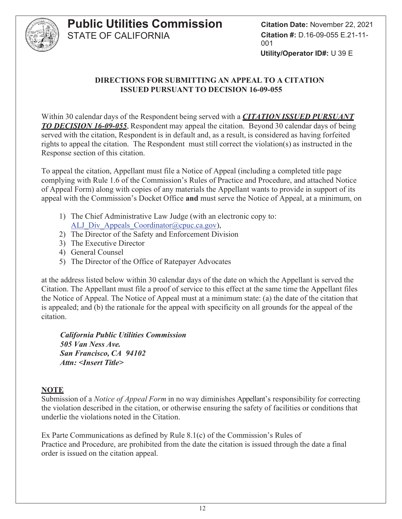

#### **DIRECTIONS FOR SUBMITTING AN APPEAL TO A CITATION ISSUED PURSUANT TO DECISION 16-09-055**

Within 30 calendar days of the Respondent being served with a *CITATION ISSUED PURSUANT TO DECISION 16-09-055*, Respondent may appeal the citation. Beyond 30 calendar days of being served with the citation, Respondent is in default and, as a result, is considered as having forfeited rights to appeal the citation. The Respondent must still correct the violation(s) as instructed in the Response section of this citation.

To appeal the citation, Appellant must file a Notice of Appeal (including a completed title page complying with Rule 1.6 of the Commission's Rules of Practice and Procedure, and attached Notice of Appeal Form) along with copies of any materials the Appellant wants to provide in support of its appeal with the Commission's Docket Office **and** must serve the Notice of Appeal, at a minimum, on

- 1) The Chief Administrative Law Judge (with an electronic copy to: ALJ Div Appeals Coordinator@cpuc.ca.gov),
- 2) The Director of the Safety and Enforcement Division
- 3) The Executive Director
- 4) General Counsel
- 5) The Director of the Office of Ratepayer Advocates

at the address listed below within 30 calendar days of the date on which the Appellant is served the Citation. The Appellant must file a proof of service to this effect at the same time the Appellant files the Notice of Appeal. The Notice of Appeal must at a minimum state: (a) the date of the citation that is appealed; and (b) the rationale for the appeal with specificity on all grounds for the appeal of the citation.

*California Public Utilities Commission 505 Van Ness Ave. San Francisco, CA 94102 Attn: <Insert Title>*

#### **NOTE**

Submission of a *Notice of Appeal Form* in no way diminishes Appellant's responsibility for correcting the violation described in the citation, or otherwise ensuring the safety of facilities or conditions that underlie the violations noted in the Citation.

Ex Parte Communications as defined by Rule 8.1(c) of the Commission's Rules of Practice and Procedure, are prohibited from the date the citation is issued through the date a final order is issued on the citation appeal.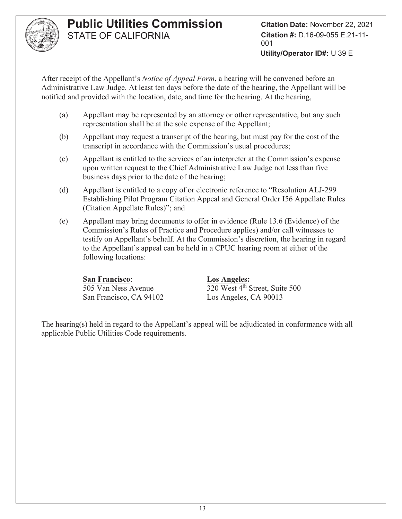

**Citation Date:** November 22, 2021 **Citation #:** D.16-09-055 E.21-11- 001 **Utility/Operator ID#:** U 39 E

After receipt of the Appellant's *Notice of Appeal Form*, a hearing will be convened before an Administrative Law Judge. At least ten days before the date of the hearing, the Appellant will be notified and provided with the location, date, and time for the hearing. At the hearing,

- (a) Appellant may be represented by an attorney or other representative, but any such representation shall be at the sole expense of the Appellant;
- (b) Appellant may request a transcript of the hearing, but must pay for the cost of the transcript in accordance with the Commission's usual procedures;
- (c) Appellant is entitled to the services of an interpreter at the Commission's expense upon written request to the Chief Administrative Law Judge not less than five business days prior to the date of the hearing;
- (d) Appellant is entitled to a copy of or electronic reference to "Resolution ALJ-299 Establishing Pilot Program Citation Appeal and General Order I56 Appellate Rules (Citation Appellate Rules)"; and
- (e) Appellant may bring documents to offer in evidence (Rule 13.6 (Evidence) of the Commission's Rules of Practice and Procedure applies) and/or call witnesses to testify on Appellant's behalf. At the Commission's discretion, the hearing in regard to the Appellant's appeal can be held in a CPUC hearing room at either of the following locations:

#### **San Francisco**: **Los Angeles:**

San Francisco, CA 94102 Los Angeles, CA 90013

505 Van Ness Avenue 320 West 4th Street, Suite 500

The hearing(s) held in regard to the Appellant's appeal will be adjudicated in conformance with all applicable Public Utilities Code requirements.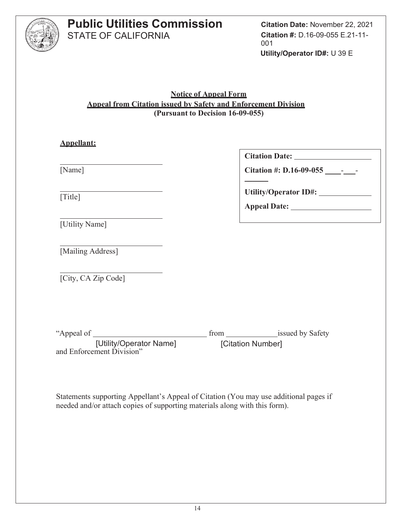

**Citation Date:** November 22, 2021 **Citation #:** D.16-09-055 E.21-11- 001 **Utility/Operator ID#:** U 39 E

**Notice of Appeal Form Appeal from Citation issued by Safety and Enforcement Division (Pursuant to Decision 16-09-055)**

| <b>Appellant:</b>                                    |                                      |
|------------------------------------------------------|--------------------------------------|
|                                                      |                                      |
| [Name]                                               |                                      |
| [Title]                                              | Utility/Operator ID#: ______________ |
| [Utility Name]                                       |                                      |
| [Mailing Address]                                    |                                      |
| [City, CA Zip Code]                                  |                                      |
|                                                      |                                      |
| [Utility/Operator Name]<br>and Enforcement Division" | [Citation Number]                    |

Statements supporting Appellant's Appeal of Citation (You may use additional pages if needed and/or attach copies of supporting materials along with this form).